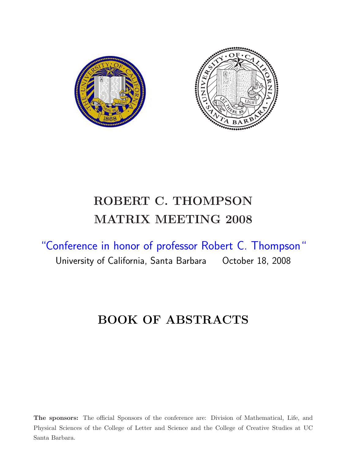

# ROBERT C. THOMPSON MATRIX MEETING 2008

"Conference in honor of professor Robert C. Thompson" University of California, Santa Barbara October 18, 2008

# BOOK OF ABSTRACTS

The sponsors: The official Sponsors of the conference are: Division of Mathematical, Life, and Physical Sciences of the College of Letter and Science and the College of Creative Studies at UC Santa Barbara.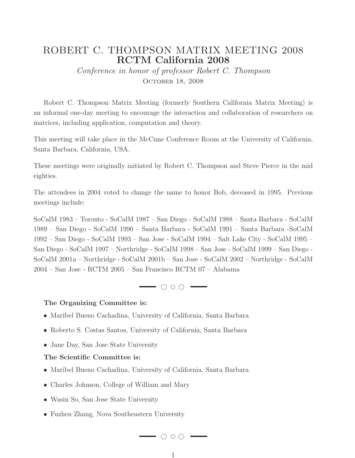### ROBERT C. THOMPSON MATRIX MEETING 2008 RCTM California 2008

Conference in honor of professor Robert C. Thompson OCTOBER 18, 2008

Robert C. Thompson Matrix Meeting (formerly Southern California Matrix Meeting) is an informal one-day meeting to encourage the interaction and collaboration of researchers on matrices, including application, computation and theory.

This meeting will take place in the McCune Conference Room at the University of California, Santa Barbara, California, USA.

These meetings were originally initiated by Robert C. Thompson and Steve Pierce in the mid eighties.

The attendees in 2004 voted to change the name to honor Bob, deceased in 1995. Previous meetings include:

SoCalM 1983 – Toronto - SoCalM 1987 – San Diego - SoCalM 1988 – Santa Barbara - SoCalM 1989 – San Diego - SoCalM 1990 – Santa Barbara - SoCalM 1991 – Santa Barbara -SoCalM 1992 – San Diego - SoCalM 1993 – San Jose - SoCalM 1994 – Salt Lake City - SoCalM 1995 – San Diego - SoCalM 1997 – Northridge - SoCalM 1998 – San Jose - SoCalM 1999 – San Diego - SoCalM 2001a – Northridge - SoCalM 2001b – San Jose - SoCalM 2002 – Northridge - SoCalM 2004 – San Jose - RCTM 2005 – San Francisco RCTM 07 – Alabama

 $\rightarrow$   $\circ$   $\circ$   $\rightarrow$ 

#### The Organizing Committee is:

- Maribel Bueno Cachadina, University of California, Santa Barbara
- Roberto S. Costas Santos, University of California, Santa Barbara
- Jane Day, San Jose State University

#### The Scientific Committee is:

- Maribel Bueno Cachadina, University of California, Santa Barbara
- Charles Johnson, College of William and Mary
- Wasin So, San Jose State University
- Fuzhen Zhang, Nova Southeastern University

 $\longrightarrow$   $\circ$   $\circ$   $\longrightarrow$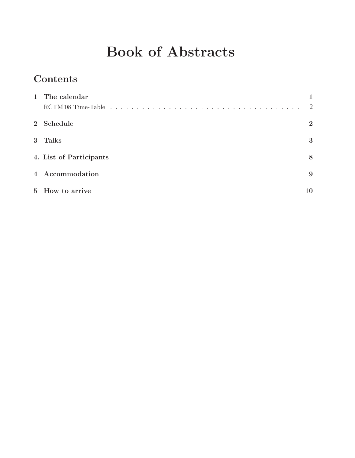# Book of Abstracts

## Contents

| 1 The calendar          |                |
|-------------------------|----------------|
|                         | 2              |
| 2 Schedule              | $\overline{2}$ |
| 3 Talks                 | 3              |
| 4. List of Participants | 8              |
| 4 Accommodation         | 9              |
| 5 How to arrive         | 10             |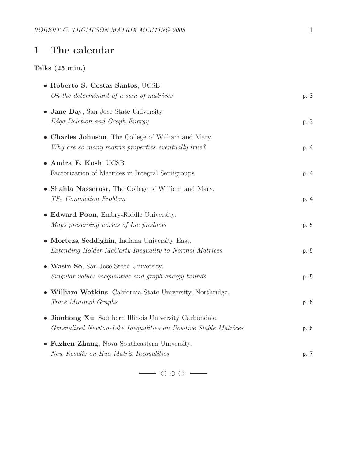## 1 The calendar

#### Talks (25 min.)

| • Roberto S. Costas-Santos, UCSB.<br>On the determinant of a sum of matrices                                                       | p. 3 |
|------------------------------------------------------------------------------------------------------------------------------------|------|
| • Jane Day, San Jose State University.<br>Edge Deletion and Graph Energy                                                           | p. 3 |
| • Charles Johnson, The College of William and Mary.<br>Why are so many matrix properties eventually true?                          | p. 4 |
| • Audra E. Kosh, UCSB.<br>Factorization of Matrices in Integral Semigroups                                                         | p. 4 |
| • Shahla Nasserasr, The College of William and Mary.<br>$TP_2$ Completion Problem                                                  | p. 4 |
| • Edward Poon, Embry-Riddle University.<br>Maps preserving norms of Lie products                                                   | p. 5 |
| • Morteza Seddighin, Indiana University East.<br>Extending Holder McCarty Inequality to Normal Matrices                            | p. 5 |
| • Wasin So, San Jose State University.<br>Singular values inequalities and graph energy bounds                                     | p. 5 |
| • William Watkins, California State University, Northridge.<br>Trace Minimal Graphs                                                | p. 6 |
| • Jianhong Xu, Southern Illinois University Carbondale.<br><i>Generalized Newton-Like Inequalities on Positive Stable Matrices</i> | p. 6 |
| • Fuzhen Zhang, Nova Southeastern University.<br>New Results on Hua Matrix Inequalities                                            | p. 7 |

❤ ❢ ❤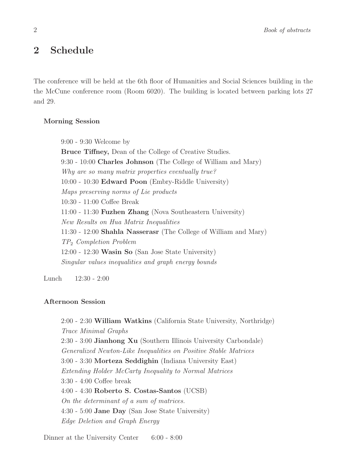2 Book of abstracts

### 2 Schedule

The conference will be held at the 6th floor of Humanities and Social Sciences building in the the McCune conference room (Room 6020). The building is located between parking lots 27 and 29.

#### Morning Session

9:00 - 9:30 Welcome by

Bruce Tiffney, Dean of the College of Creative Studies. 9:30 - 10:00 Charles Johnson (The College of William and Mary) Why are so many matrix properties eventually true? 10:00 - 10:30 Edward Poon (Embry-Riddle University) Maps preserving norms of Lie products 10:30 - 11:00 Coffee Break 11:00 - 11:30 Fuzhen Zhang (Nova Southeastern University) New Results on Hua Matrix Inequalities 11:30 - 12:00 Shahla Nasserasr (The College of William and Mary) TP<sup>2</sup> Completion Problem  $12:00$  -  $12:30$  Wasin So (San Jose State University) Singular values inequalities and graph energy bounds

Lunch 12:30 - 2:00

#### Afternoon Session

2:00 - 2:30 William Watkins (California State University, Northridge) Trace Minimal Graphs 2:30 - 3:00 Jianhong Xu (Southern Illinois University Carbondale) Generalized Newton-Like Inequalities on Positive Stable Matrices 3:00 - 3:30 Morteza Seddighin (Indiana University East) Extending Holder McCarty Inequality to Normal Matrices 3:30 - 4:00 Coffee break 4:00 - 4:30 Roberto S. Costas-Santos (UCSB) On the determinant of a sum of matrices. 4:30 - 5:00 Jane Day (San Jose State University) Edge Deletion and Graph Energy

Dinner at the University Center 6:00 - 8:00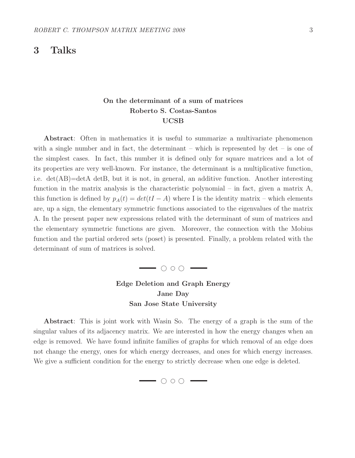### 3 Talks

#### On the determinant of a sum of matrices Roberto S. Costas-Santos UCSB

Abstract: Often in mathematics it is useful to summarize a multivariate phenomenon with a single number and in fact, the determinant – which is represented by  $\det$  – is one of the simplest cases. In fact, this number it is defined only for square matrices and a lot of its properties are very well-known. For instance, the determinant is a multiplicative function, i.e. det(AB)=detA detB, but it is not, in general, an additive function. Another interesting function in the matrix analysis is the characteristic polynomial – in fact, given a matrix  $A$ , this function is defined by  $p_A(t) = det(tI - A)$  where I is the identity matrix – which elements are, up a sign, the elementary symmetric functions associated to the eigenvalues of the matrix A. In the present paper new expressions related with the determinant of sum of matrices and the elementary symmetric functions are given. Moreover, the connection with the Mobius function and the partial ordered sets (poset) is presented. Finally, a problem related with the determinant of sum of matrices is solved.



Edge Deletion and Graph Energy Jane Day San Jose State University

Abstract: This is joint work with Wasin So. The energy of a graph is the sum of the singular values of its adjacency matrix. We are interested in how the energy changes when an edge is removed. We have found infinite families of graphs for which removal of an edge does not change the energy, ones for which energy decreases, and ones for which energy increases. We give a sufficient condition for the energy to strictly decrease when one edge is deleted.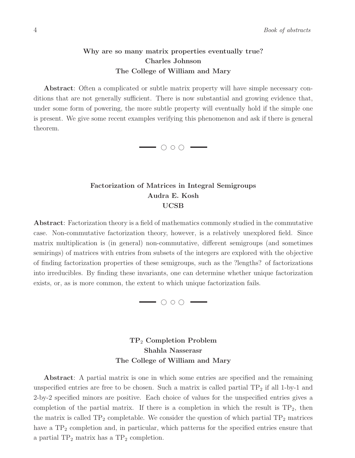#### Why are so many matrix properties eventually true? Charles Johnson The College of William and Mary

Abstract: Often a complicated or subtle matrix property will have simple necessary conditions that are not generally sufficient. There is now substantial and growing evidence that, under some form of powering, the more subtle property will eventually hold if the simple one is present. We give some recent examples verifying this phenomenon and ask if there is general theorem.



#### Factorization of Matrices in Integral Semigroups Audra E. Kosh UCSB

Abstract: Factorization theory is a field of mathematics commonly studied in the commutative case. Non-commutative factorization theory, however, is a relatively unexplored field. Since matrix multiplication is (in general) non-commutative, different semigroups (and sometimes semirings) of matrices with entries from subsets of the integers are explored with the objective of finding factorization properties of these semigroups, such as the ?lengths? of factorizations into irreducibles. By finding these invariants, one can determine whether unique factorization exists, or, as is more common, the extent to which unique factorization fails.



#### TP<sup>2</sup> Completion Problem Shahla Nasserasr The College of William and Mary

Abstract: A partial matrix is one in which some entries are specified and the remaining unspecified entries are free to be chosen. Such a matrix is called partial  $TP_2$  if all 1-by-1 and 2-by-2 specified minors are positive. Each choice of values for the unspecified entries gives a completion of the partial matrix. If there is a completion in which the result is  $TP_2$ , then the matrix is called  $TP_2$  completable. We consider the question of which partial  $TP_2$  matrices have a  $TP_2$  completion and, in particular, which patterns for the specified entries ensure that a partial  $TP_2$  matrix has a  $TP_2$  completion.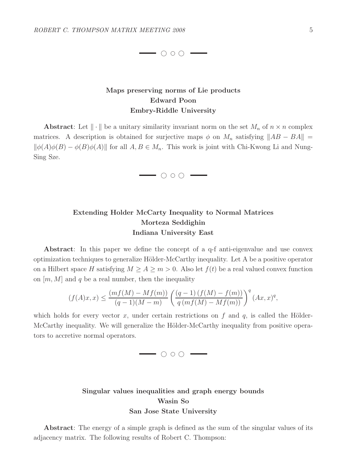$\longrightarrow$   $\circ$   $\circ$   $\longrightarrow$ 

#### Maps preserving norms of Lie products Edward Poon Embry-Riddle University

**Abstract:** Let  $\|\cdot\|$  be a unitary similarity invariant norm on the set  $M_n$  of  $n \times n$  complex matrices. A description is obtained for surjective maps  $\phi$  on  $M_n$  satisfying  $||AB - BA|| =$  $\|\phi(A)\phi(B) - \phi(B)\phi(A)\|$  for all  $A, B \in M_n$ . This work is joint with Chi-Kwong Li and Nung-Sing Sze.

 $\longrightarrow$   $\circ$   $\circ$   $\longrightarrow$ 

#### Extending Holder McCarty Inequality to Normal Matrices Morteza Seddighin Indiana University East

Abstract: In this paper we define the concept of a q-f anti-eigenvalue and use convex optimization techniques to generalize Hölder-McCarthy inequality. Let A be a positive operator on a Hilbert space H satisfying  $M \ge A \ge m > 0$ . Also let  $f(t)$  be a real valued convex function on  $[m, M]$  and q be a real number, then the inequality

$$
(f(A)x, x) \le \frac{(mf(M) - Mf(m))}{(q-1)(M-m)} \left(\frac{(q-1) (f(M) - f(m))}{q (mf(M) - Mf(m))}\right)^q (Ax, x)^q,
$$

which holds for every vector x, under certain restrictions on f and  $q$ , is called the Hölder-McCarthy inequality. We will generalize the Hölder-McCarthy inequality from positive operators to accretive normal operators.

 $\longrightarrow$   $\circ$   $\circ$   $\longrightarrow$ 

#### Singular values inequalities and graph energy bounds Wasin So San Jose State University

Abstract: The energy of a simple graph is defined as the sum of the singular values of its adjacency matrix. The following results of Robert C. Thompson: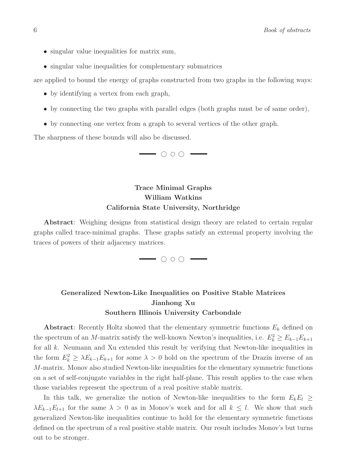- singular value inequalities for matrix sum,
- singular value inequalities for complementary submatrices

are applied to bound the energy of graphs constructed from two graphs in the following ways:

- by identifying a vertex from each graph,
- by connecting the two graphs with parallel edges (both graphs must be of same order),
- by connecting one vertex from a graph to several vertices of the other graph.

The sharpness of these bounds will also be discussed.



#### Trace Minimal Graphs William Watkins California State University, Northridge

Abstract: Weighing designs from statistical design theory are related to certain regular graphs called trace-minimal graphs. These graphs satisfy an extremal property involving the traces of powers of their adjacency matrices.

 $\overline{\phantom{a}}$ 

#### Generalized Newton-Like Inequalities on Positive Stable Matrices Jianhong Xu Southern Illinois University Carbondale

**Abstract:** Recently Holtz showed that the elementary symmetric functions  $E_k$  defined on the spectrum of an M-matrix satisfy the well-known Newton's inequalities, i.e.  $E_k^2 \ge E_{k-1}E_{k+1}$ for all k. Neumann and Xu extended this result by verifying that Newton-like inequalities in the form  $E_k^2 \geq \lambda E_{k-1} E_{k+1}$  for some  $\lambda > 0$  hold on the spectrum of the Drazin inverse of an M-matrix. Monov also studied Newton-like inequalities for the elementary symmetric functions on a set of self-conjugate variables in the right half-plane. This result applies to the case when those variables represent the spectrum of a real positive stable matrix.

In this talk, we generalize the notion of Newton-like inequalities to the form  $E_k E_l \geq$  $\lambda E_{k-1}E_{l+1}$  for the same  $\lambda > 0$  as in Monov's work and for all  $k \leq l$ . We show that such generalized Newton-like inequalities continue to hold for the elementary symmetric functions defined on the spectrum of a real positive stable matrix. Our result includes Monov's but turns out to be stronger.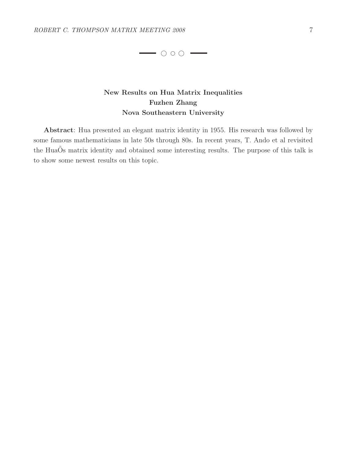

#### New Results on Hua Matrix Inequalities Fuzhen Zhang Nova Southeastern University

Abstract: Hua presented an elegant matrix identity in 1955. His research was followed by some famous mathematicians in late 50s through 80s. In recent years, T. Ando et al revisited the HuaOs matrix identity and obtained some interesting results. The purpose of this talk is to show some newest results on this topic.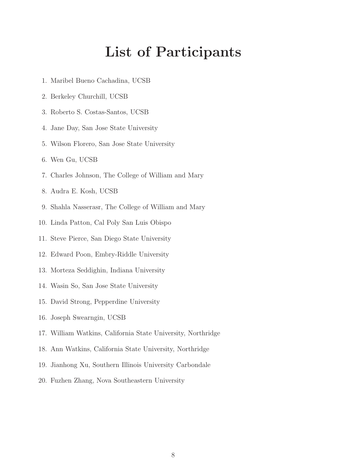# List of Participants

- 1. Maribel Bueno Cachadina, UCSB
- 2. Berkeley Churchill, UCSB
- 3. Roberto S. Costas-Santos, UCSB
- 4. Jane Day, San Jose State University
- 5. Wilson Florero, San Jose State University
- 6. Wen Gu, UCSB
- 7. Charles Johnson, The College of William and Mary
- 8. Audra E. Kosh, UCSB
- 9. Shahla Nasserasr, The College of William and Mary
- 10. Linda Patton, Cal Poly San Luis Obispo
- 11. Steve Pierce, San Diego State University
- 12. Edward Poon, Embry-Riddle University
- 13. Morteza Seddighin, Indiana University
- 14. Wasin So, San Jose State University
- 15. David Strong, Pepperdine University
- 16. Joseph Swearngin, UCSB
- 17. William Watkins, California State University, Northridge
- 18. Ann Watkins, California State University, Northridge
- 19. Jianhong Xu, Southern Illinois University Carbondale
- 20. Fuzhen Zhang, Nova Southeastern University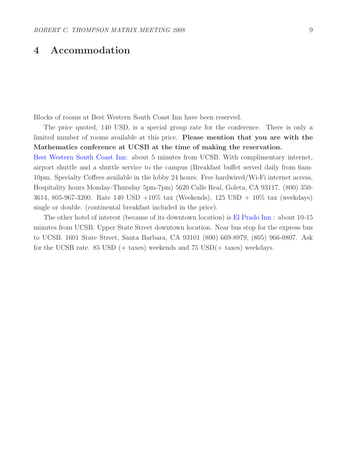### 4 Accommodation

Blocks of rooms at Best Western South Coast Inn have been reserved.

The price quoted, 140 USD, is a special group rate for the conference. There is only a limited number of rooms available at this price. Please mention that you are with the Mathematics conference at UCSB at the time of making the reservation.

Best Western South Coast Inn: about 5 minutes from UCSB. With complimentary internet, airport shuttle and a shuttle service to the campus (Breakfast buffet served daily from 6am-10pm. Specialty Coffees available in the lobby 24 hours. Free hardwired/Wi-Fi internet access, Hospitality hours Monday-Thursday 5pm-7pm) 5620 Calle Real, Goleta, CA 93117. (800) 350- 3614, 805-967-3200. Rate 140 USD  $+10\%$  tax (Weekends), 125 USD  $+10\%$  tax (weekdays) single or double. (continental breakfast included in the price).

The other hotel of interest (because of its downtown location) is El Prado Inn : about 10-15 minutes from UCSB. Upper State Street downtown location. Near bus stop for the express bus to UCSB. 1601 State Street, Santa Barbara, CA 93101 (800) 669-8979, (805) 966-0807. Ask for the UCSB rate. 85 USD  $(+ \text{ taxes})$  weekends and 75 USD $(+ \text{ taxes})$  weekdays.